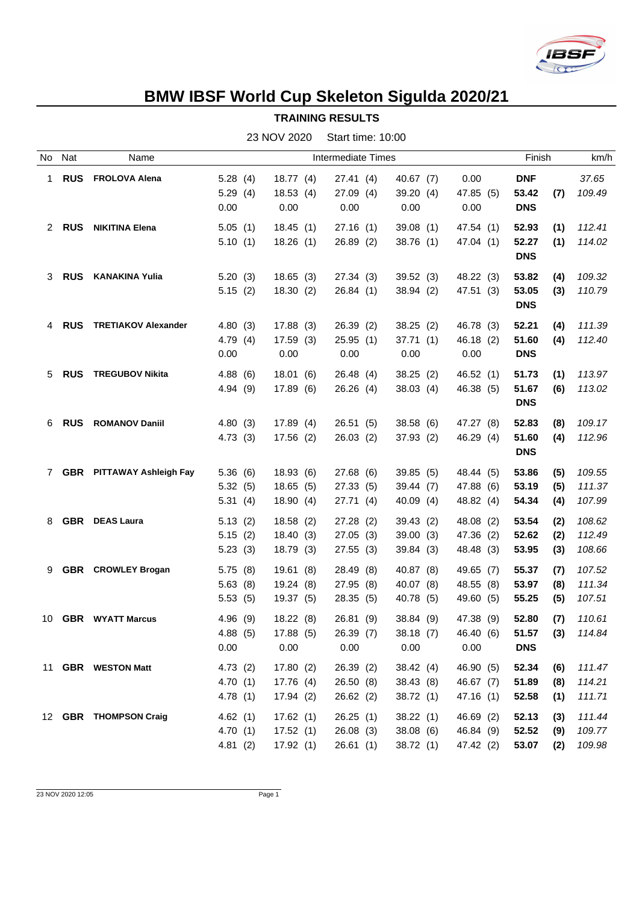

## **BMW IBSF World Cup Skeleton Sigulda 2020/21**

| <b>TRAINING RESULTS</b> |  |
|-------------------------|--|
|-------------------------|--|

|   | No Nat     | Name                             |         |           | <b>Intermediate Times</b> |           |           | Finish       | km/h   |
|---|------------|----------------------------------|---------|-----------|---------------------------|-----------|-----------|--------------|--------|
| 1 | <b>RUS</b> | <b>FROLOVA Alena</b>             | 5.28(4) | 18.77(4)  | 27.41(4)                  | 40.67(7)  | 0.00      | <b>DNF</b>   | 37.65  |
|   |            |                                  | 5.29(4) | 18.53(4)  | 27.09(4)                  | 39.20 (4) | 47.85 (5) | 53.42<br>(7) | 109.49 |
|   |            |                                  | 0.00    | 0.00      | 0.00                      | 0.00      | 0.00      | <b>DNS</b>   |        |
|   | 2 RUS      | <b>NIKITINA Elena</b>            | 5.05(1) | 18.45(1)  | 27.16(1)                  | 39.08(1)  | 47.54 (1) | 52.93<br>(1) | 112.41 |
|   |            |                                  | 5.10(1) | 18.26(1)  | 26.89(2)                  | 38.76(1)  | 47.04 (1) | 52.27<br>(1) | 114.02 |
|   |            |                                  |         |           |                           |           |           | <b>DNS</b>   |        |
| 3 | <b>RUS</b> | <b>KANAKINA Yulia</b>            | 5.20(3) | 18.65(3)  | 27.34(3)                  | 39.52(3)  | 48.22 (3) | 53.82<br>(4) | 109.32 |
|   |            |                                  | 5.15(2) | 18.30(2)  | 26.84(1)                  | 38.94(2)  | 47.51 (3) | 53.05<br>(3) | 110.79 |
|   |            |                                  |         |           |                           |           |           | <b>DNS</b>   |        |
|   | 4 RUS      | <b>TRETIAKOV Alexander</b>       | 4.80(3) | 17.88(3)  | 26.39(2)                  | 38.25(2)  | 46.78 (3) | 52.21<br>(4) | 111.39 |
|   |            |                                  | 4.79(4) | 17.59(3)  | 25.95(1)                  | 37.71(1)  | 46.18 (2) | 51.60<br>(4) | 112.40 |
|   |            |                                  | 0.00    | 0.00      | 0.00                      | 0.00      | 0.00      | <b>DNS</b>   |        |
| 5 |            | <b>RUS</b> TREGUBOV Nikita       | 4.88(6) | 18.01(6)  | 26.48 (4)                 | 38.25(2)  | 46.52(1)  | 51.73<br>(1) | 113.97 |
|   |            |                                  | 4.94(9) | 17.89(6)  | 26.26(4)                  | 38.03(4)  | 46.38 (5) | 51.67<br>(6) | 113.02 |
|   |            |                                  |         |           |                           |           |           | <b>DNS</b>   |        |
| 6 | <b>RUS</b> | <b>ROMANOV Daniil</b>            | 4.80(3) | 17.89(4)  | 26.51(5)                  | 38.58 (6) | 47.27 (8) | 52.83<br>(8) | 109.17 |
|   |            |                                  | 4.73(3) | 17.56(2)  | 26.03(2)                  | 37.93(2)  | 46.29 (4) | 51.60<br>(4) | 112.96 |
|   |            |                                  |         |           |                           |           |           | <b>DNS</b>   |        |
| 7 |            | <b>GBR</b> PITTAWAY Ashleigh Fay | 5.36(6) | 18.93 (6) | 27.68 (6)                 | 39.85(5)  | 48.44 (5) | 53.86<br>(5) | 109.55 |
|   |            |                                  | 5.32(5) | 18.65(5)  | 27.33 (5)                 | 39.44 (7) | 47.88 (6) | 53.19<br>(5) | 111.37 |
|   |            |                                  | 5.31(4) | 18.90(4)  | 27.71(4)                  | 40.09 (4) | 48.82 (4) | 54.34<br>(4) | 107.99 |
| 8 |            | <b>GBR</b> DEAS Laura            | 5.13(2) | 18.58(2)  | 27.28(2)                  | 39.43(2)  | 48.08 (2) | 53.54<br>(2) | 108.62 |
|   |            |                                  | 5.15(2) | 18.40(3)  | 27.05(3)                  | 39.00(3)  | 47.36 (2) | 52.62<br>(2) | 112.49 |
|   |            |                                  | 5.23(3) | 18.79 (3) | 27.55(3)                  | 39.84 (3) | 48.48 (3) | 53.95<br>(3) | 108.66 |
|   |            | 9 GBR CROWLEY Brogan             | 5.75(8) | 19.61(8)  | 28.49 (8)                 | 40.87 (8) | 49.65 (7) | 55.37<br>(7) | 107.52 |
|   |            |                                  | 5.63(8) | 19.24(8)  | 27.95 (8)                 | 40.07 (8) | 48.55 (8) | 53.97<br>(8) | 111.34 |
|   |            |                                  | 5.53(5) | 19.37 (5) | 28.35(5)                  | 40.78 (5) | 49.60 (5) | 55.25<br>(5) | 107.51 |
|   |            | 10 GBR WYATT Marcus              | 4.96(9) | 18.22(8)  | 26.81 (9)                 | 38.84 (9) | 47.38 (9) | 52.80<br>(7) | 110.61 |
|   |            |                                  | 4.88(5) | 17.88 (5) | 26.39 (7)                 | 38.18(7)  | 46.40 (6) | 51.57<br>(3) | 114.84 |
|   |            |                                  | 0.00    | 0.00      | 0.00                      | 0.00      | 0.00      | <b>DNS</b>   |        |
|   |            | 11 GBR WESTON Matt               | 4.73(2) | 17.80(2)  | 26.39(2)                  | 38.42(4)  | 46.90 (5) | 52.34<br>(6) | 111.47 |
|   |            |                                  | 4.70(1) | 17.76 (4) | 26.50(8)                  | 38.43(8)  | 46.67 (7) | 51.89<br>(8) | 114.21 |
|   |            |                                  | 4.78(1) | 17.94(2)  | 26.62(2)                  | 38.72(1)  | 47.16(1)  | 52.58<br>(1) | 111.71 |
|   |            | 12 GBR THOMPSON Craig            | 4.62(1) | 17.62(1)  | 26.25(1)                  | 38.22(1)  | 46.69 (2) | 52.13<br>(3) | 111.44 |
|   |            |                                  | 4.70(1) | 17.52(1)  | 26.08(3)                  | 38.08(6)  | 46.84 (9) | 52.52<br>(9) | 109.77 |
|   |            |                                  | 4.81(2) | 17.92(1)  | 26.61(1)                  | 38.72(1)  | 47.42 (2) | 53.07<br>(2) | 109.98 |

23 NOV 2020 Start time: 10:00